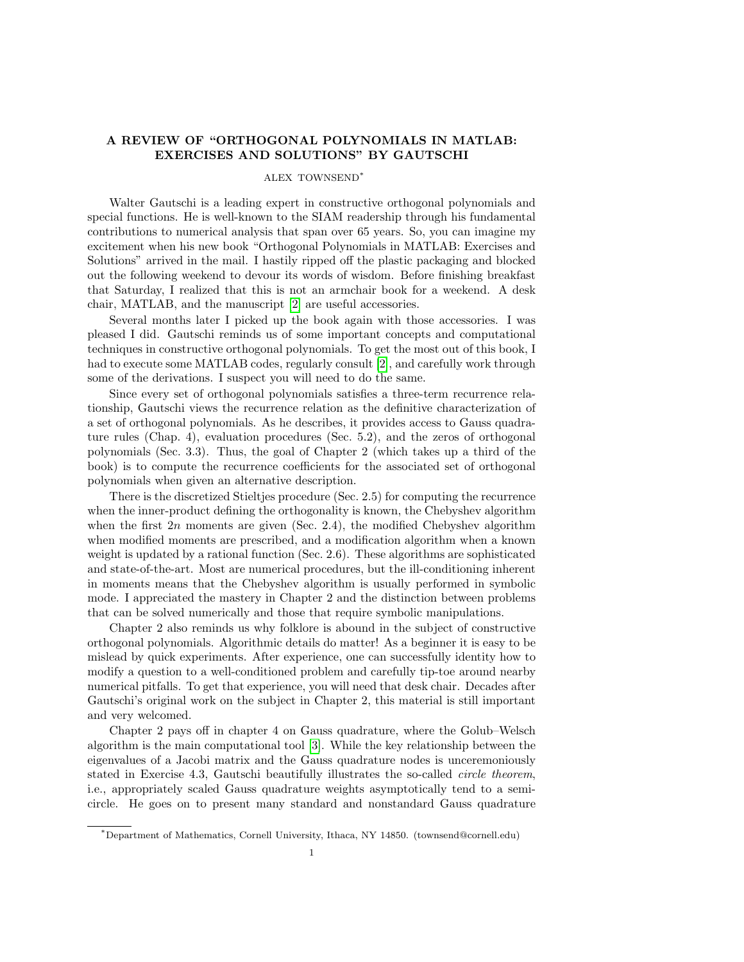## A REVIEW OF "ORTHOGONAL POLYNOMIALS IN MATLAB: EXERCISES AND SOLUTIONS" BY GAUTSCHI

## ALEX TOWNSEND<sup>∗</sup>

Walter Gautschi is a leading expert in constructive orthogonal polynomials and special functions. He is well-known to the SIAM readership through his fundamental contributions to numerical analysis that span over 65 years. So, you can imagine my excitement when his new book "Orthogonal Polynomials in MATLAB: Exercises and Solutions" arrived in the mail. I hastily ripped off the plastic packaging and blocked out the following weekend to devour its words of wisdom. Before finishing breakfast that Saturday, I realized that this is not an armchair book for a weekend. A desk chair, MATLAB, and the manuscript [\[2\]](#page-1-0) are useful accessories.

Several months later I picked up the book again with those accessories. I was pleased I did. Gautschi reminds us of some important concepts and computational techniques in constructive orthogonal polynomials. To get the most out of this book, I had to execute some MATLAB codes, regularly consult [\[2\]](#page-1-0), and carefully work through some of the derivations. I suspect you will need to do the same.

Since every set of orthogonal polynomials satisfies a three-term recurrence relationship, Gautschi views the recurrence relation as the definitive characterization of a set of orthogonal polynomials. As he describes, it provides access to Gauss quadrature rules (Chap. 4), evaluation procedures (Sec. 5.2), and the zeros of orthogonal polynomials (Sec. 3.3). Thus, the goal of Chapter 2 (which takes up a third of the book) is to compute the recurrence coefficients for the associated set of orthogonal polynomials when given an alternative description.

There is the discretized Stieltjes procedure (Sec. 2.5) for computing the recurrence when the inner-product defining the orthogonality is known, the Chebyshev algorithm when the first  $2n$  moments are given (Sec. 2.4), the modified Chebyshev algorithm when modified moments are prescribed, and a modification algorithm when a known weight is updated by a rational function (Sec. 2.6). These algorithms are sophisticated and state-of-the-art. Most are numerical procedures, but the ill-conditioning inherent in moments means that the Chebyshev algorithm is usually performed in symbolic mode. I appreciated the mastery in Chapter 2 and the distinction between problems that can be solved numerically and those that require symbolic manipulations.

Chapter 2 also reminds us why folklore is abound in the subject of constructive orthogonal polynomials. Algorithmic details do matter! As a beginner it is easy to be mislead by quick experiments. After experience, one can successfully identity how to modify a question to a well-conditioned problem and carefully tip-toe around nearby numerical pitfalls. To get that experience, you will need that desk chair. Decades after Gautschi's original work on the subject in Chapter 2, this material is still important and very welcomed.

Chapter 2 pays off in chapter 4 on Gauss quadrature, where the Golub–Welsch algorithm is the main computational tool [\[3\]](#page-1-1). While the key relationship between the eigenvalues of a Jacobi matrix and the Gauss quadrature nodes is unceremoniously stated in Exercise 4.3, Gautschi beautifully illustrates the so-called *circle theorem*, i.e., appropriately scaled Gauss quadrature weights asymptotically tend to a semicircle. He goes on to present many standard and nonstandard Gauss quadrature

<sup>∗</sup>Department of Mathematics, Cornell University, Ithaca, NY 14850. (townsend@cornell.edu)